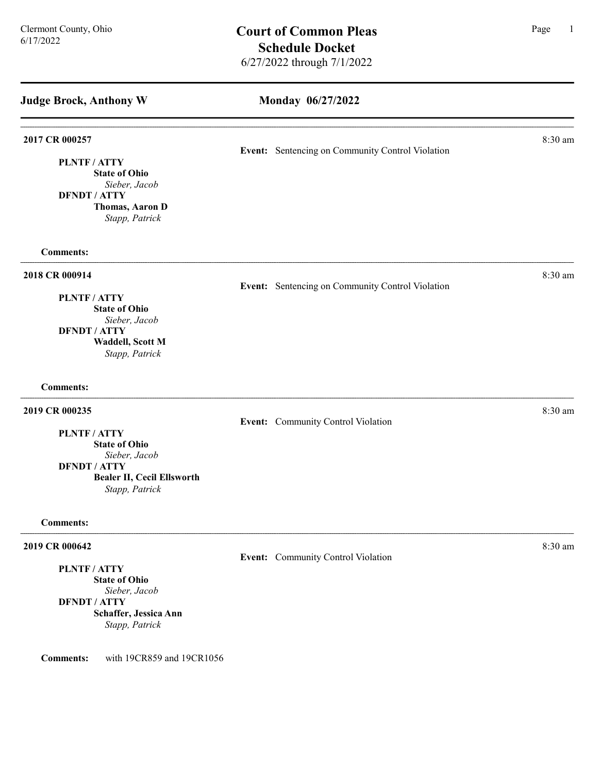| <b>Judge Brock, Anthony W</b>                                                                                     | Monday 06/27/2022                                |         |
|-------------------------------------------------------------------------------------------------------------------|--------------------------------------------------|---------|
|                                                                                                                   |                                                  |         |
| 2017 CR 000257                                                                                                    | Event: Sentencing on Community Control Violation | 8:30 am |
| PLNTF / ATTY<br><b>State of Ohio</b><br>Sieber, Jacob<br><b>DFNDT / ATTY</b><br>Thomas, Aaron D<br>Stapp, Patrick |                                                  |         |
| <b>Comments:</b>                                                                                                  |                                                  |         |
| 2018 CR 000914                                                                                                    | Event: Sentencing on Community Control Violation | 8:30 am |
| <b>PLNTF/ATTY</b><br><b>State of Ohio</b>                                                                         |                                                  |         |
| Sieber, Jacob<br><b>DFNDT / ATTY</b><br><b>Waddell, Scott M</b><br>Stapp, Patrick                                 |                                                  |         |
| <b>Comments:</b>                                                                                                  |                                                  |         |
| 2019 CR 000235                                                                                                    | Event: Community Control Violation               | 8:30 am |
| PLNTF / ATTY<br><b>State of Ohio</b><br>Sieber, Jacob                                                             |                                                  |         |
| <b>DFNDT / ATTY</b><br><b>Bealer II, Cecil Ellsworth</b><br>Stapp, Patrick                                        |                                                  |         |
| <b>Comments:</b>                                                                                                  |                                                  |         |
| 2019 CR 000642                                                                                                    |                                                  | 8:30 am |
| PLNTF / ATTY<br><b>State of Ohio</b><br>Sieber, Jacob                                                             | Event: Community Control Violation               |         |
| <b>DFNDT / ATTY</b><br>Schaffer, Jessica Ann<br>Stapp, Patrick                                                    |                                                  |         |
| with 19CR859 and 19CR1056<br><b>Comments:</b>                                                                     |                                                  |         |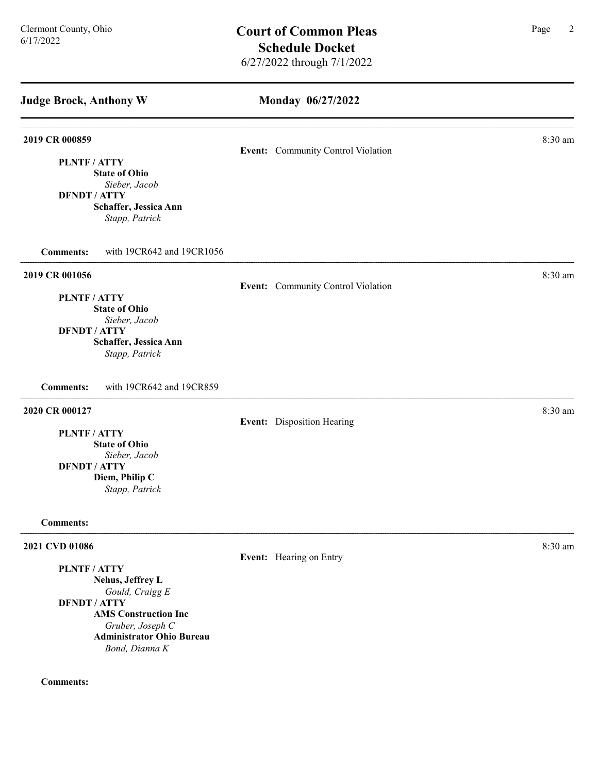# Monday 06/27/2022

| 2019 CR 000859                                                | Event: Community Control Violation | 8:30 am |
|---------------------------------------------------------------|------------------------------------|---------|
| PLNTF / ATTY<br><b>State of Ohio</b>                          |                                    |         |
| Sieber, Jacob<br><b>DFNDT / ATTY</b><br>Schaffer, Jessica Ann |                                    |         |
| Stapp, Patrick                                                |                                    |         |
| with 19CR642 and 19CR1056<br><b>Comments:</b>                 |                                    |         |
| 2019 CR 001056                                                | Event: Community Control Violation | 8:30 am |
| PLNTF / ATTY                                                  |                                    |         |
| <b>State of Ohio</b>                                          |                                    |         |
| Sieber, Jacob                                                 |                                    |         |
| <b>DFNDT / ATTY</b>                                           |                                    |         |
| Schaffer, Jessica Ann                                         |                                    |         |
| Stapp, Patrick                                                |                                    |         |
| <b>Comments:</b><br>with 19CR642 and 19CR859                  |                                    |         |
| 2020 CR 000127                                                |                                    | 8:30 am |
|                                                               | Event: Disposition Hearing         |         |
| <b>PLNTF/ATTY</b><br><b>State of Ohio</b>                     |                                    |         |
| Sieber, Jacob                                                 |                                    |         |
| <b>DFNDT / ATTY</b>                                           |                                    |         |
| Diem, Philip C                                                |                                    |         |
| Stapp, Patrick                                                |                                    |         |
|                                                               |                                    |         |
| <b>Comments:</b>                                              |                                    |         |
| 2021 CVD 01086                                                |                                    | 8:30 am |
| PLNTF/ATTY                                                    | Event: Hearing on Entry            |         |
|                                                               |                                    |         |

Nehus, Jeffrey L Gould, Craigg E DFNDT / ATTY AMS Construction Inc Gruber, Joseph C Administrator Ohio Bureau Bond, Dianna K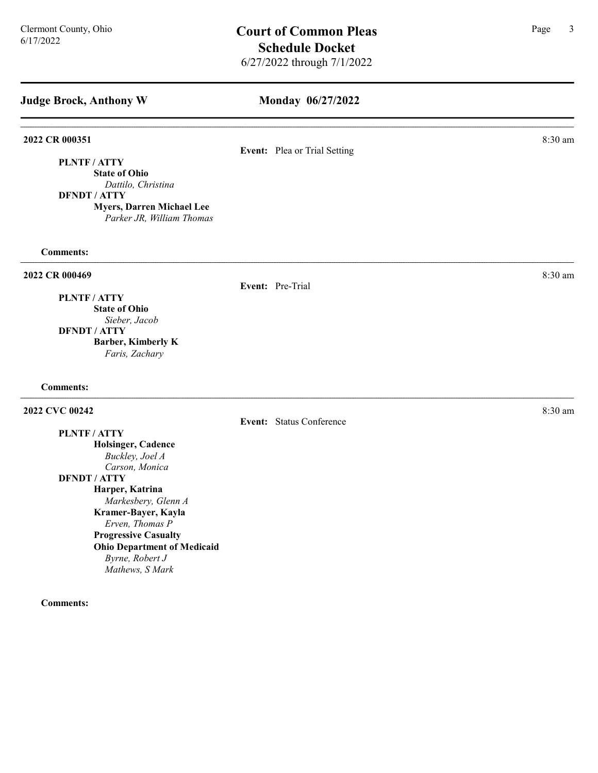## Monday 06/27/2022

### 2022 CR 000351 8:30 am 2022 CR 000351

## Event: Plea or Trial Setting

PLNTF / ATTY State of Ohio

Dattilo, Christina

DFNDT / ATTY

Myers, Darren Michael Lee Parker JR, William Thomas

Comments:

### 2022 CR 000469 8:30 am and 2022 CR 000469

Event: Pre-Trial

PLNTF / ATTY State of Ohio Sieber, Jacob DFNDT / ATTY

Barber, Kimberly K Faris, Zachary

### Comments:

### 2022 CVC 00242 2022 CVC 00242

PLNTF / ATTY

Holsinger, Cadence Buckley, Joel A Carson, Monica DFNDT / ATTY Harper, Katrina Markesbery, Glenn A Kramer-Bayer, Kayla Erven, Thomas P Progressive Casualty Ohio Department of Medicaid Byrne, Robert J Mathews, S Mark

Comments:

Event: Status Conference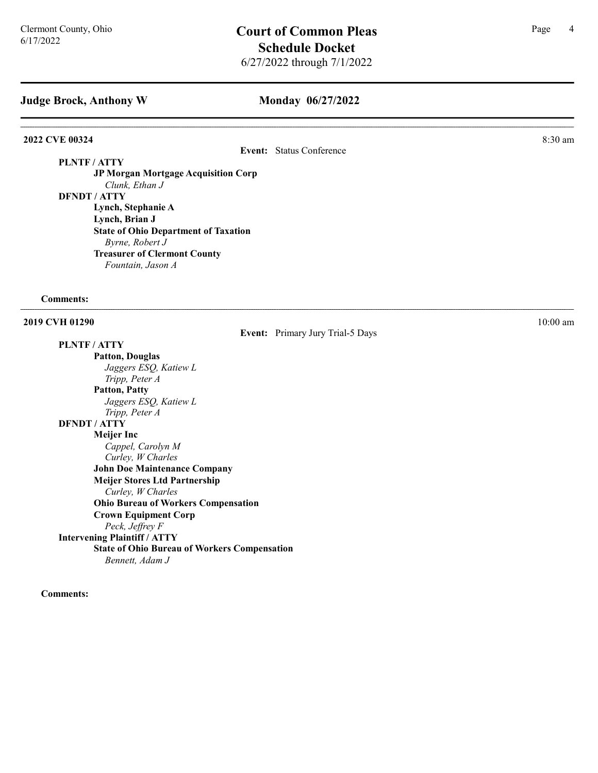### Monday 06/27/2022

Event: Primary Jury Trial-5 Days

### 2022 CVE 00324 8:30 am and 2022 CVE 00324

Event: Status Conference

PLNTF / ATTY

JP Morgan Mortgage Acquisition Corp Clunk, Ethan J DFNDT / ATTY Lynch, Stephanie A Lynch, Brian J State of Ohio Department of Taxation Byrne, Robert J

Treasurer of Clermont County

Fountain, Jason A

#### Comments:

**2019 CVH 01290** 10:00 am **10:00 am** 10:00 am **10:00 am** 10:00 am **10:00 am** 10:00 am **10:00 am** 

# PLNTF / ATTY

### Patton, Douglas Jaggers ESQ, Katiew L Tripp, Peter A Patton, Patty Jaggers ESQ, Katiew L Tripp, Peter A DFNDT / ATTY Meijer Inc Cappel, Carolyn M Curley, W Charles John Doe Maintenance Company Meijer Stores Ltd Partnership Curley, W Charles Ohio Bureau of Workers Compensation Crown Equipment Corp Peck, Jeffrey F Intervening Plaintiff / ATTY State of Ohio Bureau of Workers Compensation Bennett, Adam J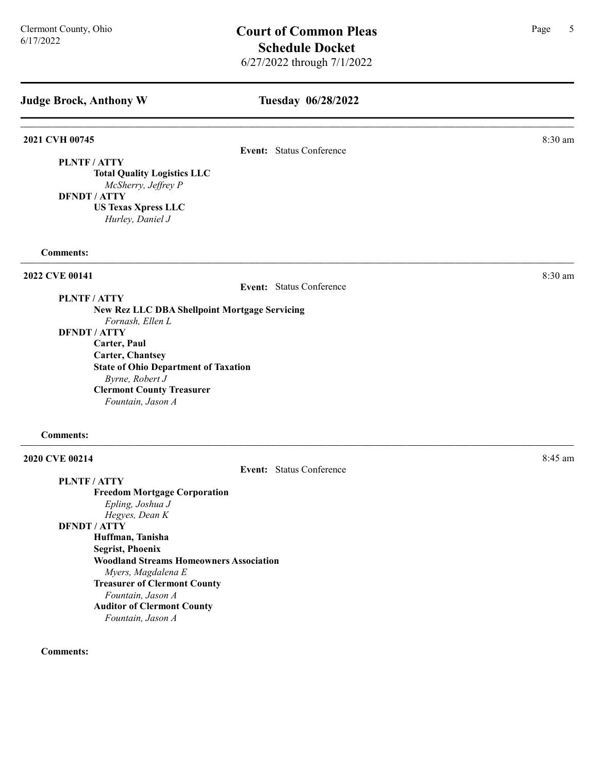### Tuesday 06/28/2022

2021 CVH 00745 8:30 am

Event: Status Conference

PLNTF / ATTY Total Quality Logistics LLC McSherry, Jeffrey P

DFNDT / ATTY US Texas Xpress LLC

Hurley, Daniel J

### Comments:

Event: Status Conference

## PLNTF / ATTY

New Rez LLC DBA Shellpoint Mortgage Servicing Fornash, Ellen L DFNDT / ATTY Carter, Paul Carter, Chantsey State of Ohio Department of Taxation Byrne, Robert J Clermont County Treasurer Fountain, Jason A

#### Comments:

### **2020 CVE 00214** 8:45 am **8:45**

### PLNTF / ATTY

Event: Status Conference

Freedom Mortgage Corporation Epling, Joshua J Hegyes, Dean K DFNDT / ATTY Huffman, Tanisha Segrist, Phoenix Woodland Streams Homeowners Association Myers, Magdalena E Treasurer of Clermont County Fountain, Jason A Auditor of Clermont County Fountain, Jason A

#### Comments:

**2022 CVE 00141** 8:30 am  $8:30 \text{ nm}$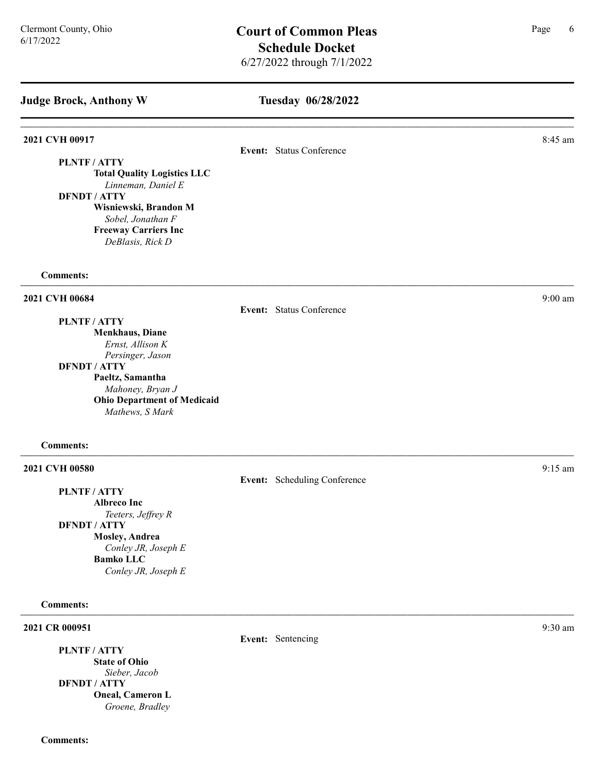PLNTF / ATTY

# Tuesday 06/28/2022

### **2021 CVH 00917** 8:45 am **8.45 am**

### Event: Status Conference

Event: Status Conference

Total Quality Logistics LLC Linneman, Daniel E DFNDT / ATTY Wisniewski, Brandon M

Sobel, Jonathan F Freeway Carriers Inc DeBlasis, Rick D

#### Comments:

#### 2021 CVH 00684 9:00 am

PLNTF / ATTY

Menkhaus, Diane Ernst, Allison K Persinger, Jason

### DFNDT / ATTY

Paeltz, Samantha Mahoney, Bryan J Ohio Department of Medicaid Mathews, S Mark

#### Comments:

### 2021 CVH 00580 9:15 am 9:25 am 9:25 am 9:25 am 9:25 am 9:25 am 9:25 am 9:25 am 9:25 am 9:25 am 9:25 am 9:25 am 9:25 am 9:25 am 9:25 am 9:25 am 9:25 am 9:25 am 9:25 am 9:25 am 9:25 am 9:25 am 9:25 am 9:25 am 9:25 am 9:25 am

PLNTF / ATTY Albreco Inc Teeters, Jeffrey R DFNDT / ATTY Mosley, Andrea Conley JR, Joseph E Bamko LLC Conley JR, Joseph E

#### Comments:

2021 CR 000951 9:30 am 9:30 am 6.9 am 6.9 am 6.9 am 6.9 am 6.9 am 6.9 am 6.9 am 6.9 am 6.9 am 6.9 am 6.9 am 6.

PLNTF / ATTY State of Ohio Sieber, Jacob DFNDT / ATTY Oneal, Cameron L Groene, Bradley

Event: Scheduling Conference

Event: Sentencing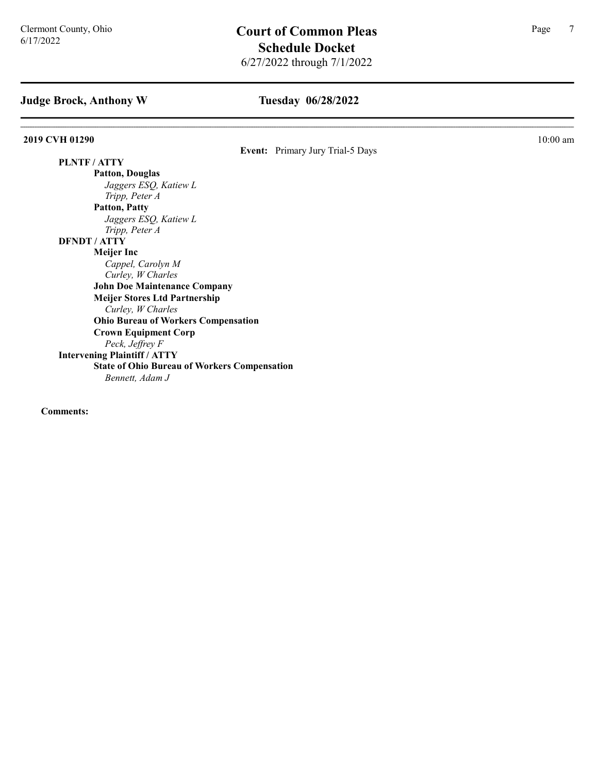## Tuesday 06/28/2022

**2019 CVH 01290** 10:00 am **10:00 am** 

Event: Primary Jury Trial-5 Days

PLNTF / ATTY Patton, Douglas Jaggers ESQ, Katiew L Tripp, Peter A Patton, Patty Jaggers ESQ, Katiew L Tripp, Peter A DFNDT / ATTY Meijer Inc Cappel, Carolyn M Curley, W Charles John Doe Maintenance Company Meijer Stores Ltd Partnership Curley, W Charles Ohio Bureau of Workers Compensation Crown Equipment Corp Peck, Jeffrey F Intervening Plaintiff / ATTY State of Ohio Bureau of Workers Compensation Bennett, Adam J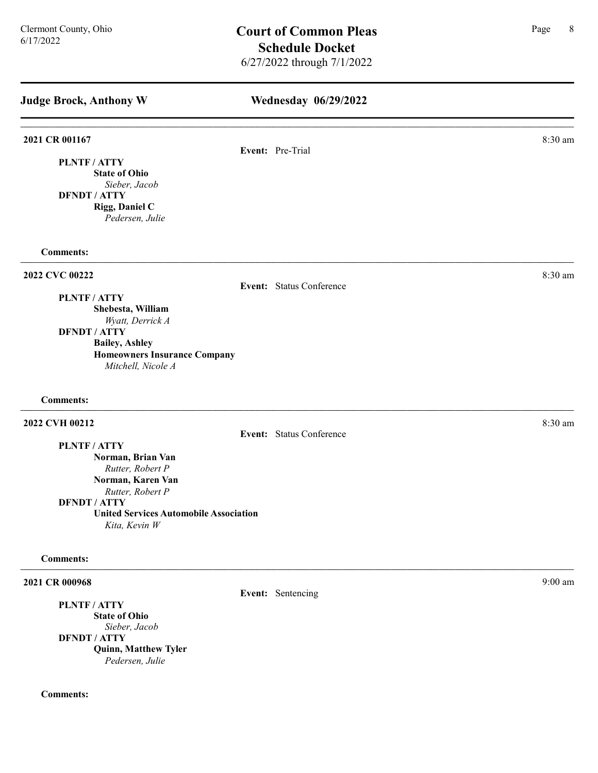| <b>Judge Brock, Anthony W</b>                                                                                                                                                           | <b>Wednesday 06/29/2022</b> |           |
|-----------------------------------------------------------------------------------------------------------------------------------------------------------------------------------------|-----------------------------|-----------|
| 2021 CR 001167                                                                                                                                                                          | Event: Pre-Trial            | 8:30 am   |
| PLNTF / ATTY<br><b>State of Ohio</b><br>Sieber, Jacob<br><b>DFNDT / ATTY</b><br>Rigg, Daniel C<br>Pedersen, Julie                                                                       |                             |           |
| <b>Comments:</b>                                                                                                                                                                        |                             |           |
| 2022 CVC 00222                                                                                                                                                                          | Event: Status Conference    | 8:30 am   |
| PLNTF / ATTY<br>Shebesta, William<br>Wyatt, Derrick A<br><b>DFNDT / ATTY</b><br><b>Bailey, Ashley</b><br><b>Homeowners Insurance Company</b><br>Mitchell, Nicole A                      |                             |           |
| <b>Comments:</b>                                                                                                                                                                        |                             |           |
| 2022 CVH 00212                                                                                                                                                                          | Event: Status Conference    | 8:30 am   |
| PLNTF / ATTY<br>Norman, Brian Van<br>Rutter, Robert P<br>Norman, Karen Van<br>Rutter, Robert P<br><b>DFNDT / ATTY</b><br><b>United Services Automobile Association</b><br>Kita, Kevin W |                             |           |
| <b>Comments:</b>                                                                                                                                                                        |                             |           |
| 2021 CR 000968<br>PLNTF / ATTY<br><b>State of Ohio</b>                                                                                                                                  | Event: Sentencing           | $9:00$ am |
| Sieber, Jacob<br><b>DFNDT / ATTY</b><br><b>Quinn, Matthew Tyler</b>                                                                                                                     |                             |           |

Pedersen, Julie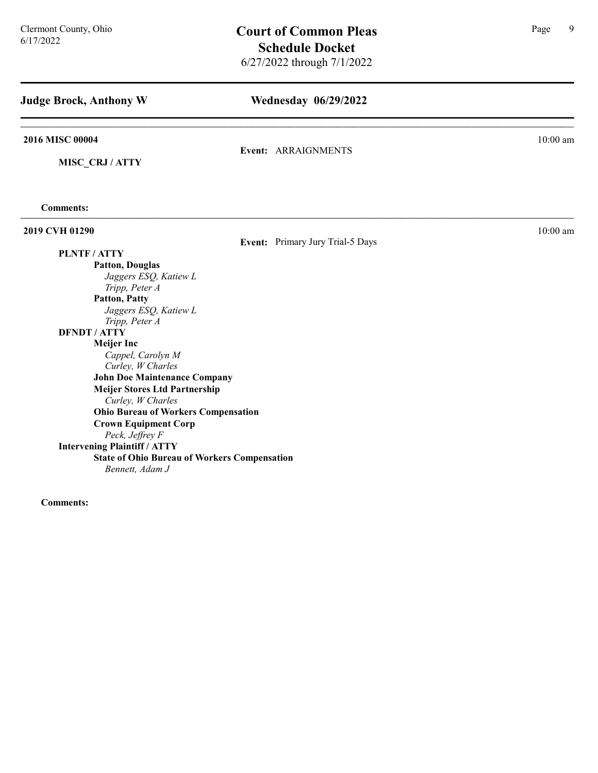| <b>Judge Brock, Anthony W</b>                       | <b>Wednesday 06/29/2022</b>      |            |
|-----------------------------------------------------|----------------------------------|------------|
| 2016 MISC 00004                                     | Event: ARRAIGNMENTS              | $10:00$ am |
| MISC CRJ / ATTY                                     |                                  |            |
| <b>Comments:</b>                                    |                                  |            |
| 2019 CVH 01290                                      |                                  | $10:00$ am |
|                                                     | Event: Primary Jury Trial-5 Days |            |
| PLNTF / ATTY                                        |                                  |            |
| <b>Patton, Douglas</b>                              |                                  |            |
| Jaggers ESQ, Katiew L                               |                                  |            |
| Tripp, Peter A                                      |                                  |            |
| <b>Patton, Patty</b>                                |                                  |            |
| Jaggers ESQ, Katiew L                               |                                  |            |
| Tripp, Peter A<br><b>DFNDT / ATTY</b>               |                                  |            |
| <b>Meijer Inc</b>                                   |                                  |            |
| Cappel, Carolyn M                                   |                                  |            |
| Curley, W Charles                                   |                                  |            |
| <b>John Doe Maintenance Company</b>                 |                                  |            |
| <b>Meijer Stores Ltd Partnership</b>                |                                  |            |
| Curley, W Charles                                   |                                  |            |
| <b>Ohio Bureau of Workers Compensation</b>          |                                  |            |
| <b>Crown Equipment Corp</b>                         |                                  |            |
| Peck, Jeffrey F                                     |                                  |            |
| <b>Intervening Plaintiff / ATTY</b>                 |                                  |            |
| <b>State of Ohio Bureau of Workers Compensation</b> |                                  |            |
| Bennett, Adam J                                     |                                  |            |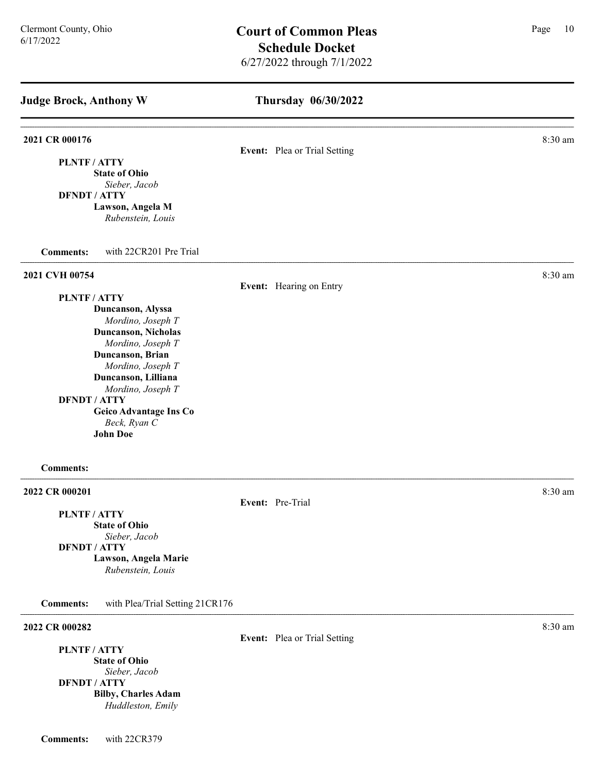| <b>Judge Brock, Anthony W</b>                       | Thursday 06/30/2022          |         |
|-----------------------------------------------------|------------------------------|---------|
| 2021 CR 000176                                      | Event: Plea or Trial Setting | 8:30 am |
| PLNTF / ATTY                                        |                              |         |
| <b>State of Ohio</b>                                |                              |         |
| Sieber, Jacob<br><b>DFNDT / ATTY</b>                |                              |         |
| Lawson, Angela M                                    |                              |         |
| Rubenstein, Louis                                   |                              |         |
| with 22CR201 Pre Trial<br><b>Comments:</b>          |                              |         |
| 2021 CVH 00754                                      |                              | 8:30 am |
| PLNTF/ATTY                                          | Event: Hearing on Entry      |         |
| Duncanson, Alyssa                                   |                              |         |
| Mordino, Joseph T                                   |                              |         |
| Duncanson, Nicholas                                 |                              |         |
| Mordino, Joseph T                                   |                              |         |
| Duncanson, Brian                                    |                              |         |
| Mordino, Joseph T<br>Duncanson, Lilliana            |                              |         |
| Mordino, Joseph T                                   |                              |         |
| <b>DFNDT / ATTY</b>                                 |                              |         |
| <b>Geico Advantage Ins Co</b>                       |                              |         |
| Beck, Ryan C                                        |                              |         |
| <b>John Doe</b>                                     |                              |         |
| <b>Comments:</b>                                    |                              |         |
| 2022 CR 000201                                      |                              | 8:30 am |
|                                                     | Event: Pre-Trial             |         |
| PLNTF / ATTY<br><b>State of Ohio</b>                |                              |         |
| Sieber, Jacob                                       |                              |         |
| <b>DFNDT / ATTY</b>                                 |                              |         |
| Lawson, Angela Marie<br>Rubenstein, Louis           |                              |         |
| with Plea/Trial Setting 21CR176<br><b>Comments:</b> |                              |         |
| 2022 CR 000282                                      |                              | 8:30 am |
| PLNTF / ATTV                                        | Event: Plea or Trial Setting |         |

PLNTF / ATTY State of Ohio Sieber, Jacob DFNDT / ATTY Bilby, Charles Adam Huddleston, Emily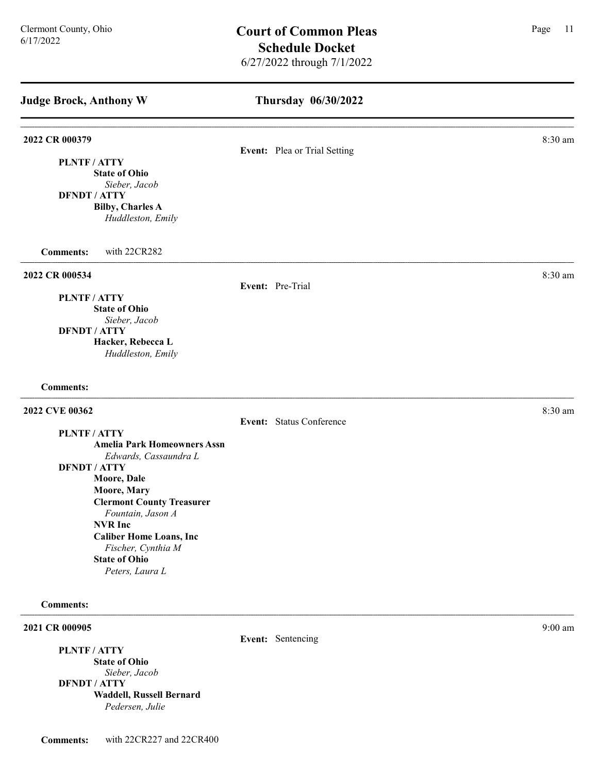| <b>Judge Brock, Anthony W</b>                                                                          | Thursday 06/30/2022          |         |  |
|--------------------------------------------------------------------------------------------------------|------------------------------|---------|--|
| 2022 CR 000379<br>PLNTF / ATTY<br><b>State of Ohio</b><br>Sieber, Jacob                                | Event: Plea or Trial Setting | 8:30 am |  |
| <b>DFNDT / ATTY</b><br><b>Bilby, Charles A</b><br>Huddleston, Emily                                    |                              |         |  |
| <b>Comments:</b><br>with 22CR282                                                                       |                              |         |  |
| 2022 CR 000534<br>PLNTF / ATTY                                                                         | Event: Pre-Trial             | 8:30 am |  |
| <b>State of Ohio</b><br>Sieber, Jacob<br><b>DFNDT / ATTY</b><br>Hacker, Rebecca L<br>Huddleston, Emily |                              |         |  |
| <b>Comments:</b>                                                                                       |                              |         |  |
| 2022 CVE 00362                                                                                         | Event: Status Conference     | 8:30 am |  |
| PLNTF / ATTY<br><b>Amelia Park Homeowners Assn</b><br>Edwards, Cassaundra L                            |                              |         |  |
| <b>DFNDT / ATTY</b><br>Moore, Dale<br>Moore, Mary                                                      |                              |         |  |
| <b>Clermont County Treasurer</b><br>Fountain, Jason A<br><b>NVR</b> Inc                                |                              |         |  |
| <b>Caliber Home Loans, Inc</b><br>Fischer, Cynthia M<br><b>State of Ohio</b><br>Peters, Laura L        |                              |         |  |
| <b>Comments:</b>                                                                                       |                              |         |  |
| 2021 CR 000905                                                                                         | Event: Sentencing            | 9:00 am |  |

PLNTF / ATTY State of Ohio Sieber, Jacob DFNDT / ATTY Waddell, Russell Bernard Pedersen, Julie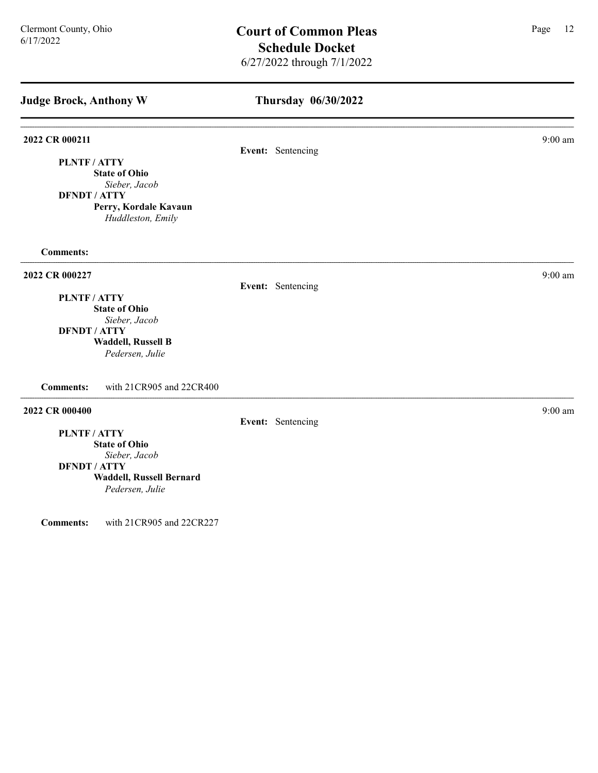| <b>Judge Brock, Anthony W</b>                                                                                                                  | Thursday 06/30/2022 |           |
|------------------------------------------------------------------------------------------------------------------------------------------------|---------------------|-----------|
| 2022 CR 000211<br>PLNTF / ATTY<br><b>State of Ohio</b><br>Sieber, Jacob<br><b>DFNDT / ATTY</b><br>Perry, Kordale Kavaun                        | Event: Sentencing   | 9:00 am   |
| Huddleston, Emily<br><b>Comments:</b>                                                                                                          |                     |           |
| 2022 CR 000227<br>PLNTF / ATTY<br><b>State of Ohio</b><br>Sieber, Jacob<br><b>DFNDT / ATTY</b><br><b>Waddell, Russell B</b><br>Pedersen, Julie | Event: Sentencing   | $9:00$ am |
| <b>Comments:</b><br>with 21CR905 and 22CR400                                                                                                   |                     |           |
| 2022 CR 000400<br>PLNTF / ATTY<br><b>State of Ohio</b><br>Sieber, Jacob<br><b>DFNDT / ATTY</b><br>Waddell, Russell Bernard<br>Pedersen, Julie  | Event: Sentencing   | $9:00$ am |

Comments: with 21CR905 and 22CR227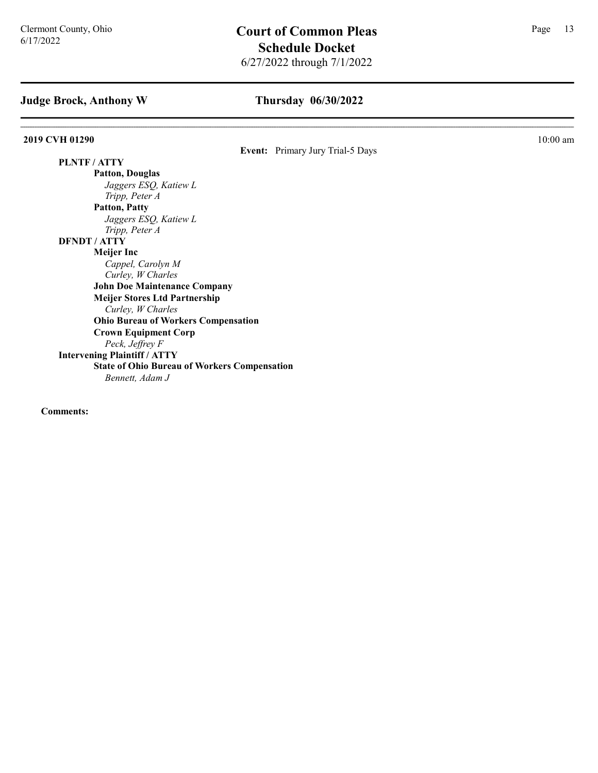## Thursday 06/30/2022

#### **2019 CVH 01290** 10:00 am **10:00 am**

Event: Primary Jury Trial-5 Days

PLNTF / ATTY Patton, Douglas Jaggers ESQ, Katiew L Tripp, Peter A Patton, Patty Jaggers ESQ, Katiew L Tripp, Peter A DFNDT / ATTY Meijer Inc Cappel, Carolyn M Curley, W Charles John Doe Maintenance Company Meijer Stores Ltd Partnership Curley, W Charles Ohio Bureau of Workers Compensation Crown Equipment Corp Peck, Jeffrey F Intervening Plaintiff / ATTY State of Ohio Bureau of Workers Compensation Bennett, Adam J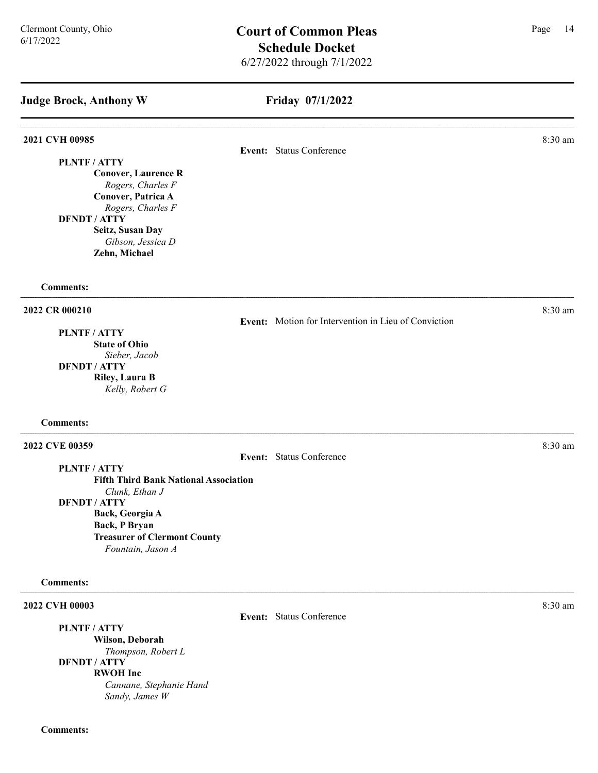# Friday 07/1/2022

| 2021 CVH 00985                                                                                                                                                                                                          | Event: Status Conference                             | 8:30 am |
|-------------------------------------------------------------------------------------------------------------------------------------------------------------------------------------------------------------------------|------------------------------------------------------|---------|
| PLNTF / ATTY<br><b>Conover, Laurence R</b><br>Rogers, Charles F<br>Conover, Patrica A<br>Rogers, Charles F<br><b>DFNDT / ATTY</b><br>Seitz, Susan Day<br>Gibson, Jessica D<br>Zehn, Michael                             |                                                      |         |
| <b>Comments:</b>                                                                                                                                                                                                        |                                                      |         |
| 2022 CR 000210<br>PLNTF / ATTY<br><b>State of Ohio</b><br>Sieber, Jacob<br><b>DFNDT / ATTY</b><br>Riley, Laura B<br>Kelly, Robert G                                                                                     | Event: Motion for Intervention in Lieu of Conviction | 8:30 am |
| <b>Comments:</b>                                                                                                                                                                                                        |                                                      |         |
| 2022 CVE 00359<br>PLNTF / ATTY<br><b>Fifth Third Bank National Association</b><br>Clunk, Ethan J<br><b>DFNDT / ATTY</b><br>Back, Georgia A<br>Back, P Bryan<br><b>Treasurer of Clermont County</b><br>Fountain, Jason A | Event: Status Conference                             | 8:30 am |
| <b>Comments:</b>                                                                                                                                                                                                        |                                                      |         |
| 2022 CVH 00003<br>PLNTF / ATTY                                                                                                                                                                                          | Event: Status Conference                             | 8:30 am |

Wilson, Deborah Thompson, Robert L DFNDT / ATTY RWOH Inc Cannane, Stephanie Hand Sandy, James W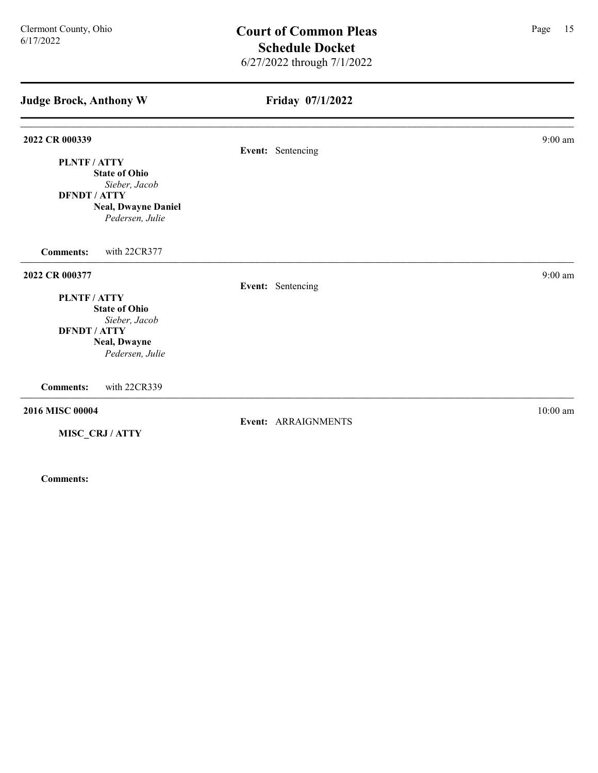| <b>Judge Brock, Anthony W</b>        | Friday 07/1/2022    |                    |
|--------------------------------------|---------------------|--------------------|
| 2022 CR 000339                       | Event: Sentencing   | $9:00$ am          |
| PLNTF/ATTY                           |                     |                    |
| <b>State of Ohio</b>                 |                     |                    |
| Sieber, Jacob                        |                     |                    |
| <b>DFNDT / ATTY</b>                  |                     |                    |
| <b>Neal, Dwayne Daniel</b>           |                     |                    |
| Pedersen, Julie                      |                     |                    |
| with 22CR377<br><b>Comments:</b>     |                     |                    |
| 2022 CR 000377                       |                     | $9:00~\mathrm{am}$ |
|                                      | Event: Sentencing   |                    |
| PLNTF/ATTY                           |                     |                    |
| <b>State of Ohio</b>                 |                     |                    |
| Sieber, Jacob<br><b>DFNDT / ATTY</b> |                     |                    |
| <b>Neal, Dwayne</b>                  |                     |                    |
| Pedersen, Julie                      |                     |                    |
|                                      |                     |                    |
| <b>Comments:</b><br>with 22CR339     |                     |                    |
| 2016 MISC 00004                      |                     | $10:00$ am         |
| MISC_CRJ/ATTY                        | Event: ARRAIGNMENTS |                    |
|                                      |                     |                    |